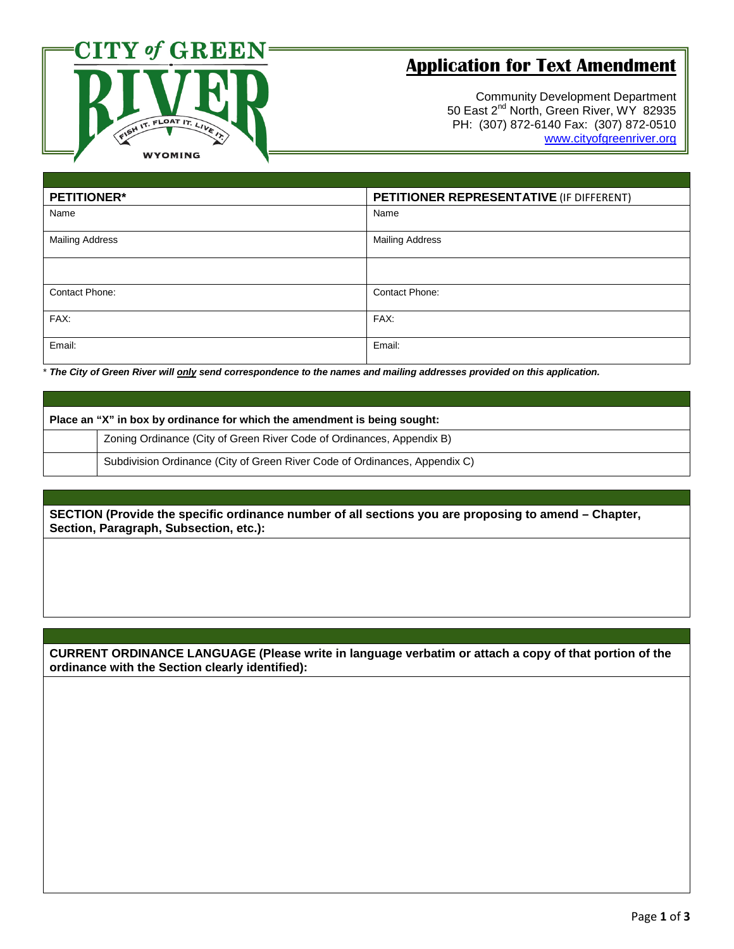

## **Application for Text Amendment**

Community Development Department 50 East 2<sup>nd</sup> North, Green River, WY 82935 PH: (307) 872-6140 Fax: (307) 872-0510 [www.cityofgreenriver.org](http://www.cityofgreenriver.org/)

| <b>PETITIONER*</b>     | PETITIONER REPRESENTATIVE (IF DIFFERENT) |
|------------------------|------------------------------------------|
| Name                   | Name                                     |
| <b>Mailing Address</b> | <b>Mailing Address</b>                   |
|                        |                                          |
| Contact Phone:         | Contact Phone:                           |
| FAX:                   | FAX:                                     |
| Email:                 | Email:                                   |

\* *The City of Green River will only send correspondence to the names and mailing addresses provided on this application.* 

| Place an "X" in box by ordinance for which the amendment is being sought: |                                                                            |  |  |
|---------------------------------------------------------------------------|----------------------------------------------------------------------------|--|--|
|                                                                           | Zoning Ordinance (City of Green River Code of Ordinances, Appendix B)      |  |  |
|                                                                           | Subdivision Ordinance (City of Green River Code of Ordinances, Appendix C) |  |  |

**SECTION (Provide the specific ordinance number of all sections you are proposing to amend – Chapter, Section, Paragraph, Subsection, etc.):** 

**CURRENT ORDINANCE LANGUAGE (Please write in language verbatim or attach a copy of that portion of the ordinance with the Section clearly identified):**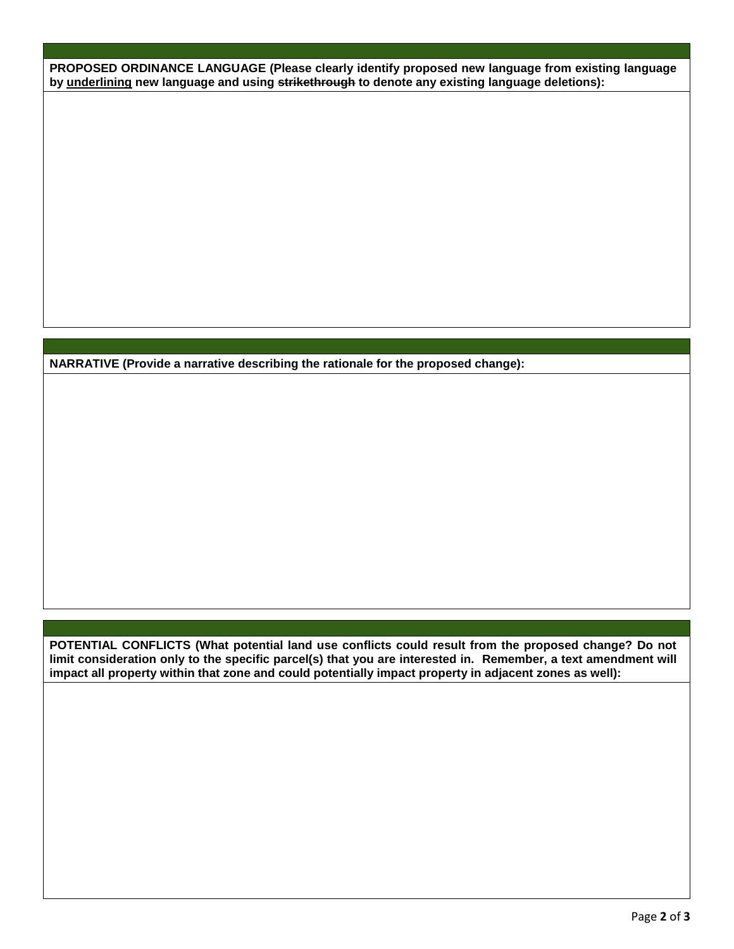**PROPOSED ORDINANCE LANGUAGE (Please clearly identify proposed new language from existing language by underlining new language and using strikethrough to denote any existing language deletions):**

**NARRATIVE (Provide a narrative describing the rationale for the proposed change):**

**POTENTIAL CONFLICTS (What potential land use conflicts could result from the proposed change? Do not limit consideration only to the specific parcel(s) that you are interested in. Remember, a text amendment will impact all property within that zone and could potentially impact property in adjacent zones as well):**